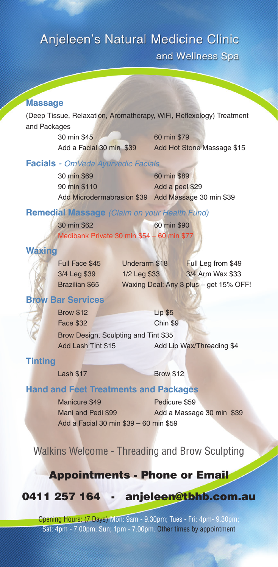# Anjeleen's Natural Medicine Clinic

and Wellness Spa

#### **Massage**

(Deep Tissue, Relaxation, Aromatherapy, WiFi, Reflexology) Treatment and Packages

30 min \$45 60 min \$79

Add a Facial 30 min \$39 Add Hot Stone Massage \$15

#### **Facials** - OmVeda Ayurvedic Facials

30 min \$69 60 min \$89 90 min \$110 Add a peel \$29 Add Microdermabrasion \$39 Add Massage 30 min \$39

#### **Remedial Massage** (Claim on your Health Fund)

30 min \$62 60 min \$90 Medibank Private 30 min \$54 – 60 min \$77

#### **Waxing**

| Full Face \$45 | Underarm \$18 | Full Leg from \$49                     |
|----------------|---------------|----------------------------------------|
| 3/4 Leg \$39   | 1/2 Leg \$33  | 3/4 Arm Wax \$33                       |
| Brazilian \$65 |               | Waxing Deal: Any 3 plus - get 15% OFF! |

#### **Brow Bar Services**

| <b>Brow \$12</b>                     | Lip \$5                   |  |
|--------------------------------------|---------------------------|--|
| <b>Face \$32</b>                     | Chin \$9                  |  |
| Brow Design, Sculpting and Tint \$35 |                           |  |
| Add Lash Tint \$15                   | Add Lip Wax/Threading \$4 |  |

#### **Tinting**

Lash \$17 Brow \$12

#### **Hand and Feet Treatments and Packages**

Manicure \$49 Pedicure \$59 Add a Facial 30 min \$39 – 60 min \$59

Mani and Pedi \$99 Add a Massage 30 min \$39

Walkins Welcome - Threading and Brow Sculpting

### Appointments - Phone or Email

0411 257 164 - anjeleen@tbhb.com.au

Opening Hours: (7 Days) Mon: 9am - 9.30pm; Tues - Fri: 4pm- 9.30pm; Sat: 4pm - 7.00pm; Sun; 1pm - 7.00pm. Other times by appointment